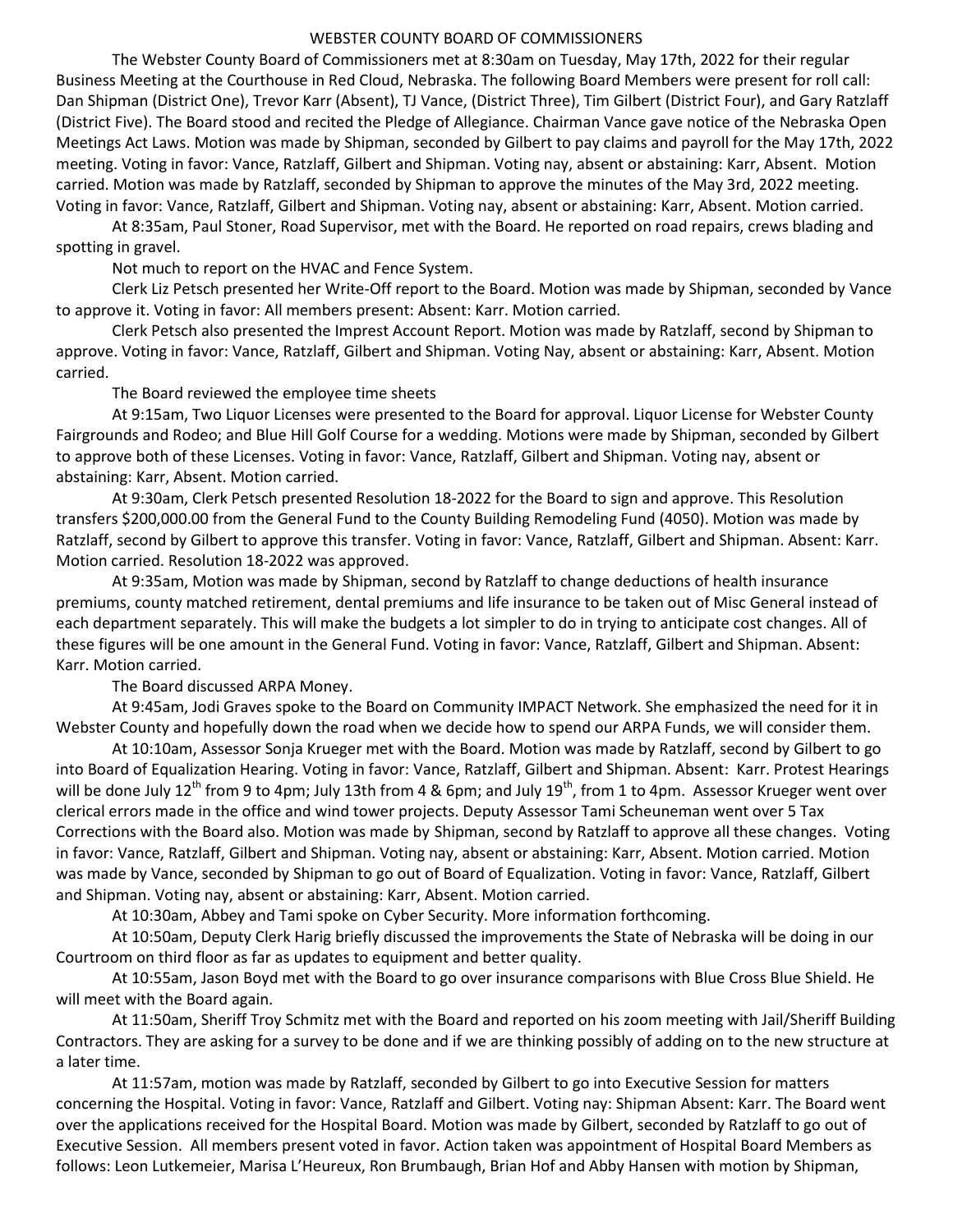## WEBSTER COUNTY BOARD OF COMMISSIONERS

 The Webster County Board of Commissioners met at 8:30am on Tuesday, May 17th, 2022 for their regular Business Meeting at the Courthouse in Red Cloud, Nebraska. The following Board Members were present for roll call: Dan Shipman (District One), Trevor Karr (Absent), TJ Vance, (District Three), Tim Gilbert (District Four), and Gary Ratzlaff (District Five). The Board stood and recited the Pledge of Allegiance. Chairman Vance gave notice of the Nebraska Open Meetings Act Laws. Motion was made by Shipman, seconded by Gilbert to pay claims and payroll for the May 17th, 2022 meeting. Voting in favor: Vance, Ratzlaff, Gilbert and Shipman. Voting nay, absent or abstaining: Karr, Absent. Motion carried. Motion was made by Ratzlaff, seconded by Shipman to approve the minutes of the May 3rd, 2022 meeting. Voting in favor: Vance, Ratzlaff, Gilbert and Shipman. Voting nay, absent or abstaining: Karr, Absent. Motion carried.

 At 8:35am, Paul Stoner, Road Supervisor, met with the Board. He reported on road repairs, crews blading and spotting in gravel.

Not much to report on the HVAC and Fence System.

 Clerk Liz Petsch presented her Write-Off report to the Board. Motion was made by Shipman, seconded by Vance to approve it. Voting in favor: All members present: Absent: Karr. Motion carried.

 Clerk Petsch also presented the Imprest Account Report. Motion was made by Ratzlaff, second by Shipman to approve. Voting in favor: Vance, Ratzlaff, Gilbert and Shipman. Voting Nay, absent or abstaining: Karr, Absent. Motion carried.

The Board reviewed the employee time sheets

At 9:15am, Two Liquor Licenses were presented to the Board for approval. Liquor License for Webster County Fairgrounds and Rodeo; and Blue Hill Golf Course for a wedding. Motions were made by Shipman, seconded by Gilbert to approve both of these Licenses. Voting in favor: Vance, Ratzlaff, Gilbert and Shipman. Voting nay, absent or abstaining: Karr, Absent. Motion carried.

At 9:30am, Clerk Petsch presented Resolution 18-2022 for the Board to sign and approve. This Resolution transfers \$200,000.00 from the General Fund to the County Building Remodeling Fund (4050). Motion was made by Ratzlaff, second by Gilbert to approve this transfer. Voting in favor: Vance, Ratzlaff, Gilbert and Shipman. Absent: Karr. Motion carried. Resolution 18-2022 was approved.

At 9:35am, Motion was made by Shipman, second by Ratzlaff to change deductions of health insurance premiums, county matched retirement, dental premiums and life insurance to be taken out of Misc General instead of each department separately. This will make the budgets a lot simpler to do in trying to anticipate cost changes. All of these figures will be one amount in the General Fund. Voting in favor: Vance, Ratzlaff, Gilbert and Shipman. Absent: Karr. Motion carried.

The Board discussed ARPA Money.

At 9:45am, Jodi Graves spoke to the Board on Community IMPACT Network. She emphasized the need for it in Webster County and hopefully down the road when we decide how to spend our ARPA Funds, we will consider them.

At 10:10am, Assessor Sonja Krueger met with the Board. Motion was made by Ratzlaff, second by Gilbert to go into Board of Equalization Hearing. Voting in favor: Vance, Ratzlaff, Gilbert and Shipman. Absent: Karr. Protest Hearings will be done July 12<sup>th</sup> from 9 to 4pm; July 13th from 4 & 6pm; and July 19<sup>th</sup>, from 1 to 4pm. Assessor Krueger went over clerical errors made in the office and wind tower projects. Deputy Assessor Tami Scheuneman went over 5 Tax Corrections with the Board also. Motion was made by Shipman, second by Ratzlaff to approve all these changes. Voting in favor: Vance, Ratzlaff, Gilbert and Shipman. Voting nay, absent or abstaining: Karr, Absent. Motion carried. Motion was made by Vance, seconded by Shipman to go out of Board of Equalization. Voting in favor: Vance, Ratzlaff, Gilbert and Shipman. Voting nay, absent or abstaining: Karr, Absent. Motion carried.

At 10:30am, Abbey and Tami spoke on Cyber Security. More information forthcoming.

At 10:50am, Deputy Clerk Harig briefly discussed the improvements the State of Nebraska will be doing in our Courtroom on third floor as far as updates to equipment and better quality.

At 10:55am, Jason Boyd met with the Board to go over insurance comparisons with Blue Cross Blue Shield. He will meet with the Board again.

At 11:50am, Sheriff Troy Schmitz met with the Board and reported on his zoom meeting with Jail/Sheriff Building Contractors. They are asking for a survey to be done and if we are thinking possibly of adding on to the new structure at a later time.

At 11:57am, motion was made by Ratzlaff, seconded by Gilbert to go into Executive Session for matters concerning the Hospital. Voting in favor: Vance, Ratzlaff and Gilbert. Voting nay: Shipman Absent: Karr. The Board went over the applications received for the Hospital Board. Motion was made by Gilbert, seconded by Ratzlaff to go out of Executive Session. All members present voted in favor. Action taken was appointment of Hospital Board Members as follows: Leon Lutkemeier, Marisa L'Heureux, Ron Brumbaugh, Brian Hof and Abby Hansen with motion by Shipman,